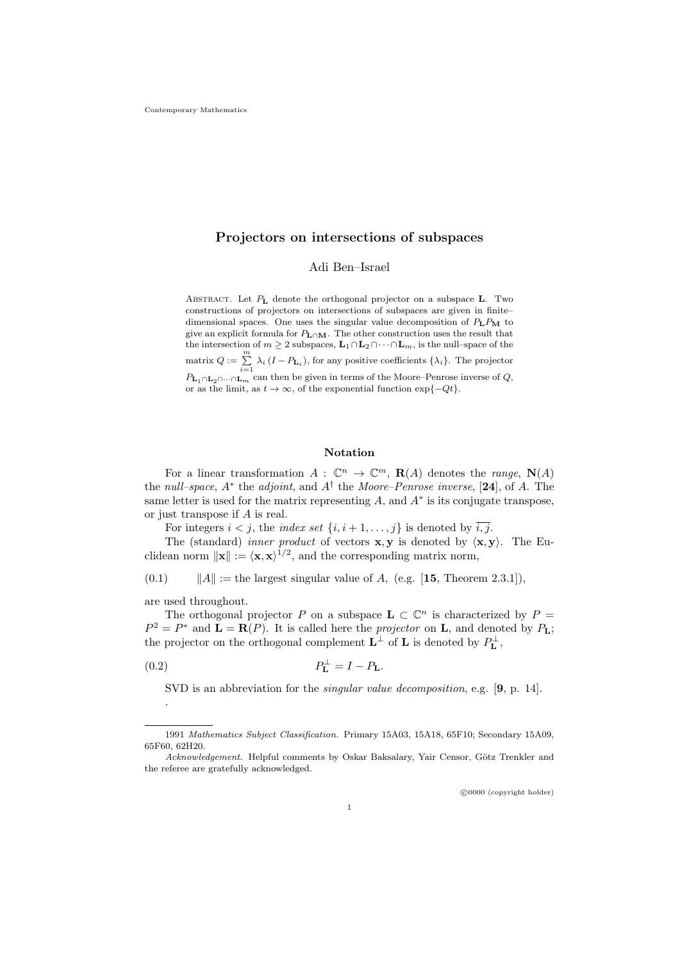# **Projectors on intersections of subspaces**

Adi Ben–Israel

Abstract. Let *P***<sup>L</sup>** denote the orthogonal projector on a subspace **L**. Two constructions of projectors on intersections of subspaces are given in finite– dimensional spaces. One uses the singular value decomposition of  $P_L P_M$  to give an explicit formula for *P***L***∩***M**. The other construction uses the result that the intersection of  $m \geq 2$  subspaces,  $\mathbf{L}_1 \cap \mathbf{L}_2 \cap \cdots \cap \mathbf{L}_m$ , is the null–space of the matrix  $Q := \sum_{i=1}^{m} \lambda_i (I - P_{\mathbf{L}_i})$ , for any positive coefficients  $\{\lambda_i\}$ . The projector  $P_{\mathbf{L}_1 \cap \mathbf{L}_2 \cap \cdots \cap \mathbf{L}_m}$  can then be given in terms of the Moore–Penrose inverse of Q,<br>or as the limit, as  $t \to \infty$ , of the exponential function  $\exp\{-Qt\}$ .

#### **Notation**

For a linear transformation  $A: \mathbb{C}^n \to \mathbb{C}^m$ ,  $\mathbf{R}(A)$  denotes the *range*,  $\mathbf{N}(A)$ the *null–space*, *A<sup>∗</sup>* the *adjoint*, and *A†* the *Moore–Penrose inverse*, [**24**], of *A*. The same letter is used for the matrix representing  $A$ , and  $A^*$  is its conjugate transpose, or just transpose if *A* is real.

For integers  $i < j$ , the *index set*  $\{i, i+1, \ldots, j\}$  is denoted by  $\overline{i, j}$ .

The (standard) *inner product* of vectors **x***,* **y** is denoted by *⟨***x***,* **y***⟩*. The Euclidean norm  $||\mathbf{x}|| := \langle \mathbf{x}, \mathbf{x} \rangle^{1/2}$ , and the corresponding matrix norm,

(0.1)  $||A|| :=$  the largest singular value of *A*, (e.g. [15, Theorem 2.3.1])*,* 

are used throughout.

.

The orthogonal projector *P* on a subspace  $\mathbf{L} \subset \mathbb{C}^n$  is characterized by  $P =$  $P^2 = P^*$  and  $\mathbf{L} = \mathbf{R}(P)$ . It is called here the *projector* on **L**, and denoted by  $P_{\mathbf{L}}$ ; the projector on the orthogonal complement  $\mathbf{L}^{\perp}$  of  $\mathbf{L}$  is denoted by  $P_{\mathbf{L}}^{\perp}$ ,

$$
(0.2) \t\t\t P_{\mathbf{L}}^{\perp} = I - P_{\mathbf{L}}.
$$

SVD is an abbreviation for the *singular value decomposition*, e.g. [**9**, p. 14].

 $\odot$ 0000 (copyright holder)

<sup>1991</sup> *Mathematics Subject Classification.* Primary 15A03, 15A18, 65F10; Secondary 15A09, 65F60, 62H20.

*Acknowledgement*. Helpful comments by Oskar Baksalary, Yair Censor, Götz Trenkler and the referee are gratefully acknowledged.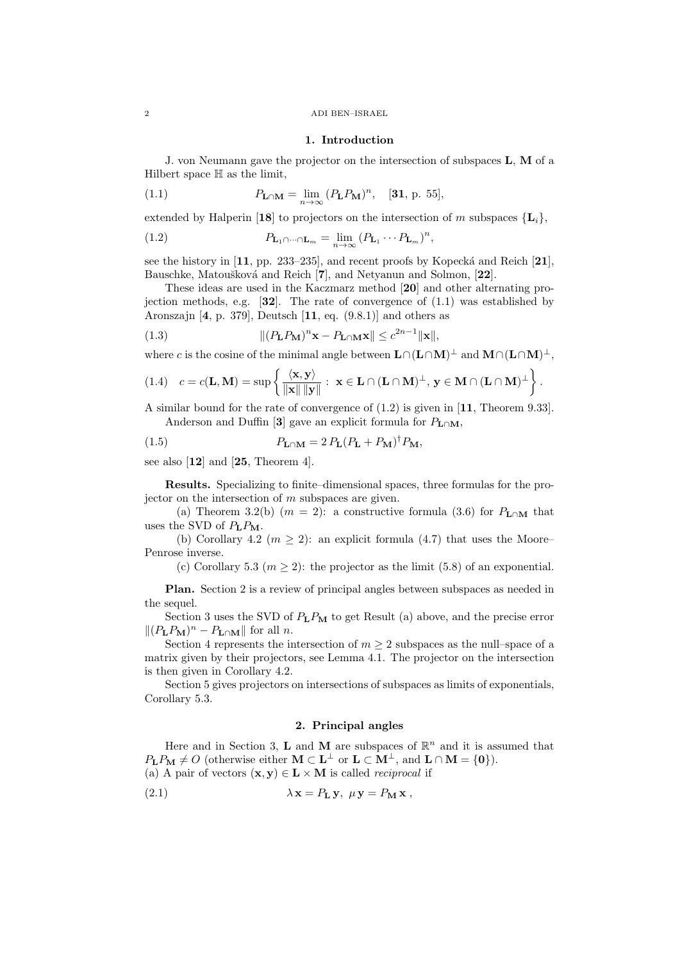#### 2 ADI BEN–ISRAEL

#### **1. Introduction**

J. von Neumann gave the projector on the intersection of subspaces **L***,* **M** of a Hilbert space H as the limit,

(1.1) 
$$
P_{\mathbf{L}\cap\mathbf{M}} = \lim_{n \to \infty} (P_{\mathbf{L}} P_{\mathbf{M}})^n, \quad [\mathbf{31}, \, \text{p. 55}],
$$

extended by Halperin [18] to projectors on the intersection of *m* subspaces  ${\mathbf{L}_i}$ ,

(1.2) 
$$
P_{\mathbf{L}_1 \cap \dots \cap \mathbf{L}_m} = \lim_{n \to \infty} (P_{\mathbf{L}_1} \cdots P_{\mathbf{L}_m})^n,
$$

see the history in  $[11, pp. 233-235]$ , and recent proofs by Kopecká and Reich  $[21]$ , Bauschke, Matoušková and Reich [**7**], and Netyanun and Solmon, [22].

These ideas are used in the Kaczmarz method [**20**] and other alternating projection methods, e.g. [**32**]. The rate of convergence of (1.1) was established by Aronszajn [**4**, p. 379], Deutsch [**11**, eq. (9.8.1)] and others as

(1.3) 
$$
\| (P_{\mathbf{L}} P_{\mathbf{M}})^n \mathbf{x} - P_{\mathbf{L} \cap \mathbf{M}} \mathbf{x} \| \leq c^{2n-1} \|\mathbf{x}\|,
$$

where *c* is the cosine of the minimal angle between  $L \cap (L \cap M)^{\perp}$  and  $M \cap (L \cap M)^{\perp}$ ,

$$
(1.4) \quad c = c(\mathbf{L}, \mathbf{M}) = \sup \left\{ \frac{\langle \mathbf{x}, \mathbf{y} \rangle}{\|\mathbf{x}\| \|\mathbf{y}\|} : \ \mathbf{x} \in \mathbf{L} \cap (\mathbf{L} \cap \mathbf{M})^{\perp}, \ \mathbf{y} \in \mathbf{M} \cap (\mathbf{L} \cap \mathbf{M})^{\perp} \right\}.
$$

A similar bound for the rate of convergence of (1.2) is given in [**11**, Theorem 9.33]. Anderson and Duffin [3] gave an explicit formula for  $P_{\text{L}\cap\text{M}}$ ,

(1.5) 
$$
P_{\mathbf{L}\cap\mathbf{M}} = 2 P_{\mathbf{L}} (P_{\mathbf{L}} + P_{\mathbf{M}})^{\dagger} P_{\mathbf{M}},
$$

see also [**12**] and [**25**, Theorem 4].

**Results.** Specializing to finite–dimensional spaces, three formulas for the projector on the intersection of *m* subspaces are given.

(a) Theorem 3.2(b)  $(m = 2)$ : a constructive formula (3.6) for  $P_{\text{L}\cap\text{M}}$  that uses the SVD of *P***L***P***M**.

(b) Corollary 4.2 ( $m \geq 2$ ): an explicit formula (4.7) that uses the Moore– Penrose inverse.

(c) Corollary 5.3 ( $m \ge 2$ ): the projector as the limit (5.8) of an exponential.

**Plan.** Section 2 is a review of principal angles between subspaces as needed in the sequel.

Section 3 uses the SVD of *P***L***P***<sup>M</sup>** to get Result (a) above, and the precise error  $\| (P_{\mathbf{L}} P_{\mathbf{M}})^n - P_{\mathbf{L} \cap \mathbf{M}} \|$  for all *n*.

Section 4 represents the intersection of  $m \geq 2$  subspaces as the null–space of a matrix given by their projectors, see Lemma 4.1. The projector on the intersection is then given in Corollary 4.2.

Section 5 gives projectors on intersections of subspaces as limits of exponentials, Corollary 5.3.

## **2. Principal angles**

Here and in Section 3, **L** and **M** are subspaces of  $\mathbb{R}^n$  and it is assumed that  $P_{\mathbf{L}}P_{\mathbf{M}} \neq O$  (otherwise either  $\mathbf{M} \subset \mathbf{L}^{\perp}$  or  $\mathbf{L} \subset \mathbf{M}^{\perp}$ , and  $\mathbf{L} \cap \mathbf{M} = \{0\}$ ). (a) A pair of vectors  $(\mathbf{x}, \mathbf{y}) \in \mathbf{L} \times \mathbf{M}$  is called *reciprocal* if

(2.1) 
$$
\lambda \mathbf{x} = P_{\mathbf{L}} \mathbf{y}, \ \mu \mathbf{y} = P_{\mathbf{M}} \mathbf{x},
$$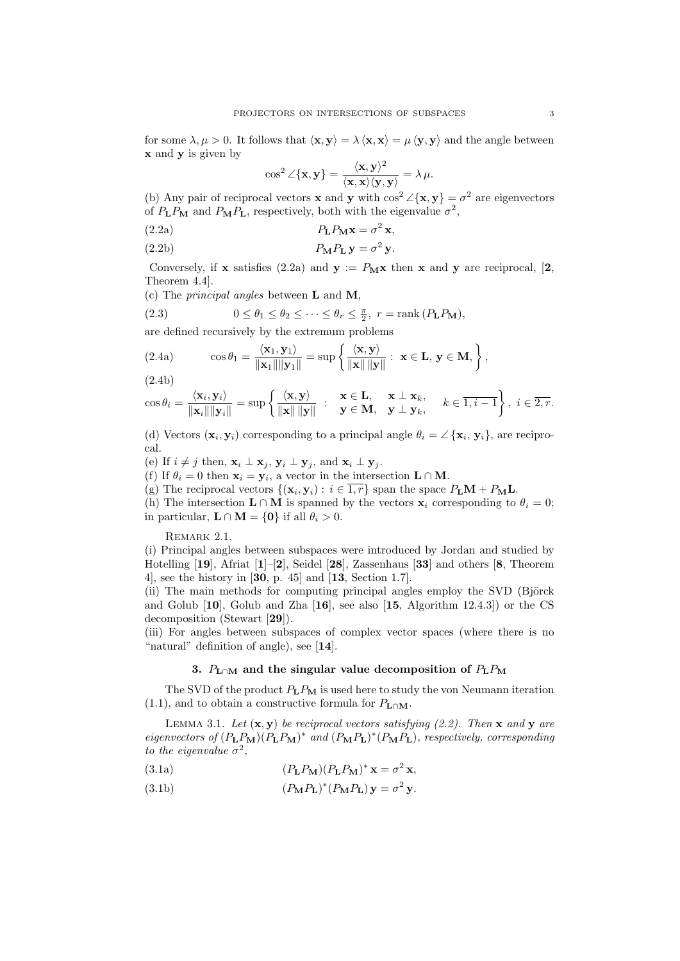for some  $\lambda, \mu > 0$ . It follows that  $\langle \mathbf{x}, \mathbf{y} \rangle = \lambda \langle \mathbf{x}, \mathbf{x} \rangle = \mu \langle \mathbf{y}, \mathbf{y} \rangle$  and the angle between **x** and **y** is given by

$$
\cos^2 \angle {\{\mathbf{x}, \mathbf{y}\}} = \frac{\langle \mathbf{x}, \mathbf{y} \rangle^2}{\langle \mathbf{x}, \mathbf{x} \rangle \langle \mathbf{y}, \mathbf{y} \rangle} = \lambda \mu.
$$

(b) Any pair of reciprocal vectors **x** and **y** with  $\cos^2 \angle{\mathbf{x}, \mathbf{y}} = \sigma^2$  are eigenvectors of  $P_{\mathbf{L}}P_{\mathbf{M}}$  and  $P_{\mathbf{M}}P_{\mathbf{L}}$ , respectively, both with the eigenvalue  $\sigma^2$ ,

(2.2a) 
$$
P_{\mathbf{L}}P_{\mathbf{M}}\mathbf{x} = \sigma^2 \mathbf{x},
$$

(2.2b) 
$$
P_{\mathbf{M}}P_{\mathbf{L}}\mathbf{y} = \sigma^2\mathbf{y}.
$$

Conversely, if **x** satisfies (2.2a) and  $y := P_M x$  then **x** and **y** are reciprocal, [2, Theorem 4.4].

(c) The *principal angles* between **L** and **M**,

(2.3) 
$$
0 \leq \theta_1 \leq \theta_2 \leq \cdots \leq \theta_r \leq \frac{\pi}{2}, r = \text{rank}(P_{\mathbf{L}}P_{\mathbf{M}}),
$$

are defined recursively by the extremum problems

(2.4a) 
$$
\cos \theta_1 = \frac{\langle \mathbf{x}_1, \mathbf{y}_1 \rangle}{\|\mathbf{x}_1\| \|\mathbf{y}_1\|} = \sup \left\{ \frac{\langle \mathbf{x}, \mathbf{y} \rangle}{\|\mathbf{x}\| \|\mathbf{y}\|} : \mathbf{x} \in \mathbf{L}, \mathbf{y} \in \mathbf{M}, \right\},
$$

(2.4b)

$$
\cos \theta_i = \frac{\langle \mathbf{x}_i, \mathbf{y}_i \rangle}{\|\mathbf{x}_i\| \|\mathbf{y}_i\|} = \sup \left\{ \frac{\langle \mathbf{x}, \mathbf{y} \rangle}{\|\mathbf{x}\| \|\mathbf{y}\|} : \begin{array}{c} \mathbf{x} \in \mathbf{L}, & \mathbf{x} \perp \mathbf{x}_k, \\ \mathbf{y} \in \mathbf{M}, & \mathbf{y} \perp \mathbf{y}_k, \end{array} \right. k \in \overline{1, i-1} \right\}, i \in \overline{2, r}.
$$

(d) Vectors  $(\mathbf{x}_i, \mathbf{y}_i)$  corresponding to a principal angle  $\theta_i = \angle {\mathbf{x}_i, \mathbf{y}_i}$ , are reciprocal.

(e) If  $i \neq j$  then,  $\mathbf{x}_i \perp \mathbf{x}_j$ ,  $\mathbf{y}_i \perp \mathbf{y}_j$ , and  $\mathbf{x}_i \perp \mathbf{y}_j$ .

(f) If  $\theta_i = 0$  then  $\mathbf{x}_i = \mathbf{y}_i$ , a vector in the intersection  $\mathbf{L} \cap \mathbf{M}$ .

(g) The reciprocal vectors  $\{(\mathbf{x}_i, \mathbf{y}_i) : i \in \overline{1, r}\}$  span the space  $P_L \mathbf{M} + P_{\mathbf{M}} \mathbf{L}$ .

(h) The intersection  $\mathbf{L} \cap \mathbf{M}$  is spanned by the vectors  $\mathbf{x}_i$  corresponding to  $\theta_i = 0$ ; in particular,  $\mathbf{L} \cap \mathbf{M} = \{0\}$  if all  $\theta_i > 0$ .

REMARK 2.1.

(i) Principal angles between subspaces were introduced by Jordan and studied by Hotelling [**19**], Afriat [**1**]–[**2**], Seidel [**28**], Zassenhaus [**33**] and others [**8**, Theorem 4], see the history in [**30**, p. 45] and [**13**, Section 1.7].

(ii) The main methods for computing principal angles employ the SVD (Björck and Golub [**10**], Golub and Zha [**16**], see also [**15**, Algorithm 12.4.3]) or the CS decomposition (Stewart [**29**]).

(iii) For angles between subspaces of complex vector spaces (where there is no "natural" definition of angle), see [**14**].

# **3.**  $P_{\text{L}\cap\text{M}}$  and the singular value decomposition of  $P_{\text{L}}P_{\text{M}}$

The SVD of the product *P***L***P***<sup>M</sup>** is used here to study the von Neumann iteration (1.1), and to obtain a constructive formula for  $P_{\text{L}\cap\text{M}}$ .

LEMMA 3.1. Let  $(\mathbf{x}, \mathbf{y})$  be reciprocal vectors satisfying (2.2). Then **x** and **y** are eigenvectors of  $(P_{\mathbf{L}}P_{\mathbf{M}})(P_{\mathbf{L}}P_{\mathbf{M}})^*$  and  $(P_{\mathbf{M}}P_{\mathbf{L}})^*(P_{\mathbf{M}}P_{\mathbf{L}})$ , respectively, corresponding *to the eigenvalue*  $\sigma^2$ ,

- (3.1a)  $(P_{\bf L}P_{\bf M})(P_{\bf L}P_{\bf M})^* \mathbf{x} = \sigma^2 \mathbf{x},$
- (3.1b)  $(P_{\bf M}P_{\bf L})^*(P_{\bf M}P_{\bf L}){\bf y} = \sigma^2 {\bf y}.$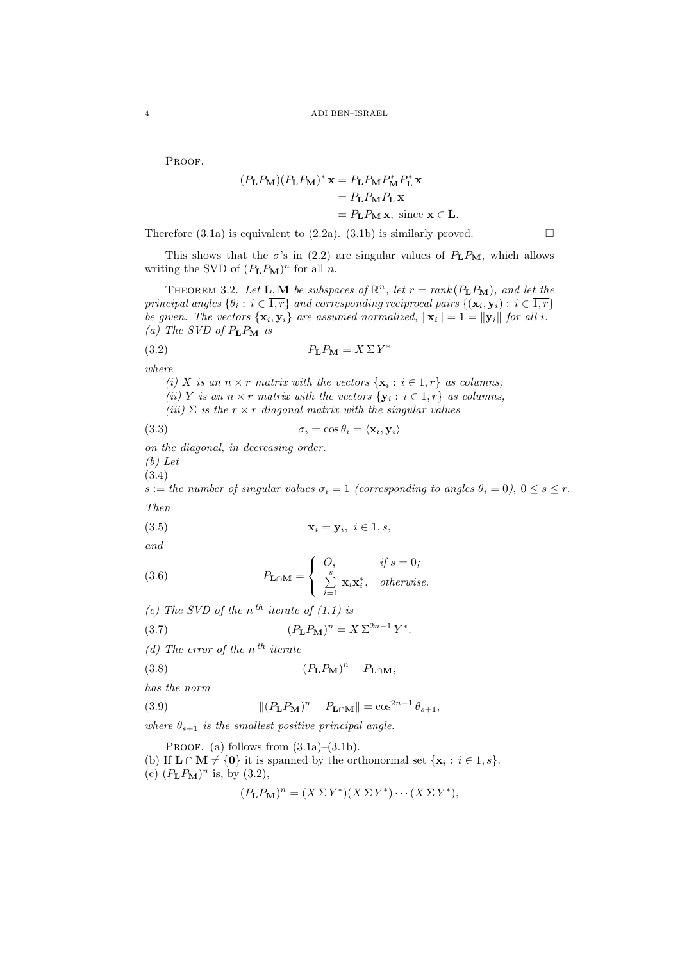PROOF.

$$
(P_{\mathbf{L}}P_{\mathbf{M}})(P_{\mathbf{L}}P_{\mathbf{M}})^{*} \mathbf{x} = P_{\mathbf{L}}P_{\mathbf{M}}P_{\mathbf{M}}^{*}P_{\mathbf{L}}^{*} \mathbf{x}
$$

$$
= P_{\mathbf{L}}P_{\mathbf{M}}P_{\mathbf{L}} \mathbf{x}
$$

$$
= P_{\mathbf{L}}P_{\mathbf{M}} \mathbf{x}, \text{ since } \mathbf{x} \in \mathbf{L}.
$$

Therefore (3.1a) is equivalent to (2.2a). (3.1b) is similarly proved.  $\square$ 

This shows that the  $\sigma$ 's in (2.2) are singular values of  $P_L P_M$ , which allows writing the SVD of  $(P_{\mathbf{L}}P_{\mathbf{M}})^n$  for all *n*.

THEOREM 3.2. Let **L**, **M** be subspaces of  $\mathbb{R}^n$ , let  $r = rank(P_{\mathbf{L}}P_{\mathbf{M}})$ , and let the *principal angles*  $\{\theta_i : i \in \overline{1,r}\}$  *and corresponding reciprocal pairs*  $\{(\mathbf{x}_i, \mathbf{y}_i) : i \in \overline{1,r}\}$ *be given. The vectors*  $\{x_i, y_i\}$  *are assumed normalized,*  $\|\mathbf{x}_i\| = 1 = \|\mathbf{y}_i\|$  *for all i.*  $(a)$  *The SVD of*  $P_L P_M$  *is* 

$$
(3.2) \t\t\t P_{\mathbf{L}}P_{\mathbf{M}} = X \Sigma Y^*
$$

*where*

*(i) X is an*  $n \times r$  *matrix with the vectors*  $\{x_i : i \in \overline{1,r}\}$  *as columns, (ii) Y is an*  $n \times r$  *matrix with the vectors*  $\{y_i : i \in \overline{1,r}\}\$  *as columns,* 

 $(iii)$   $\Sigma$  *is the*  $r \times r$  *diagonal matrix with the singular values* 

(3.3) 
$$
\sigma_i = \cos \theta_i = \langle \mathbf{x}_i, \mathbf{y}_i \rangle
$$

*on the diagonal, in decreasing order.*

*(b) Let*

(3.4)

*s* := *the number of singular values*  $\sigma_i = 1$  *(corresponding to angles*  $\theta_i = 0$ *)*,  $0 \leq s \leq r$ .

*Then*

$$
\mathbf{x}_i = \mathbf{y}_i, \ i \in \overline{1, s},
$$

*and*

(3.6) 
$$
P_{\mathbf{L}\cap\mathbf{M}} = \begin{cases} O, & \text{if } s = 0; \\ \sum_{i=1}^{s} \mathbf{x}_i \mathbf{x}_i^*, & \text{otherwise.} \end{cases}
$$

*(c)* The SVD of the  $n^{th}$  iterate of  $(1.1)$  is

(3.7) 
$$
(P_{\mathbf{L}}P_{\mathbf{M}})^n = X \Sigma^{2n-1} Y^*.
$$

*(d) The error of the n th iterate*

$$
(3.8) \t\t\t (P_{\mathbf{L}}P_{\mathbf{M}})^n - P_{\mathbf{L}\cap\mathbf{M}},
$$

*has the norm*

(3.9) 
$$
\|(P_{\mathbf{L}}P_{\mathbf{M}})^n - P_{\mathbf{L}\cap\mathbf{M}}\| = \cos^{2n-1}\theta_{s+1},
$$

*where*  $\theta_{s+1}$  *is the smallest positive principal angle.* 

PROOF. (a) follows from  $(3.1a)$ – $(3.1b)$ .

(b) If  $\mathbf{L} \cap \mathbf{M} \neq \{0\}$  it is spanned by the orthonormal set  $\{\mathbf{x}_i : i \in \overline{1,s}\}.$ 

(c)  $(P_{\mathbf{L}}P_{\mathbf{M}})^n$  is, by (3.2),

$$
(P_{\mathbf{L}}P_{\mathbf{M}})^n = (X \Sigma Y^*)(X \Sigma Y^*) \cdots (X \Sigma Y^*),
$$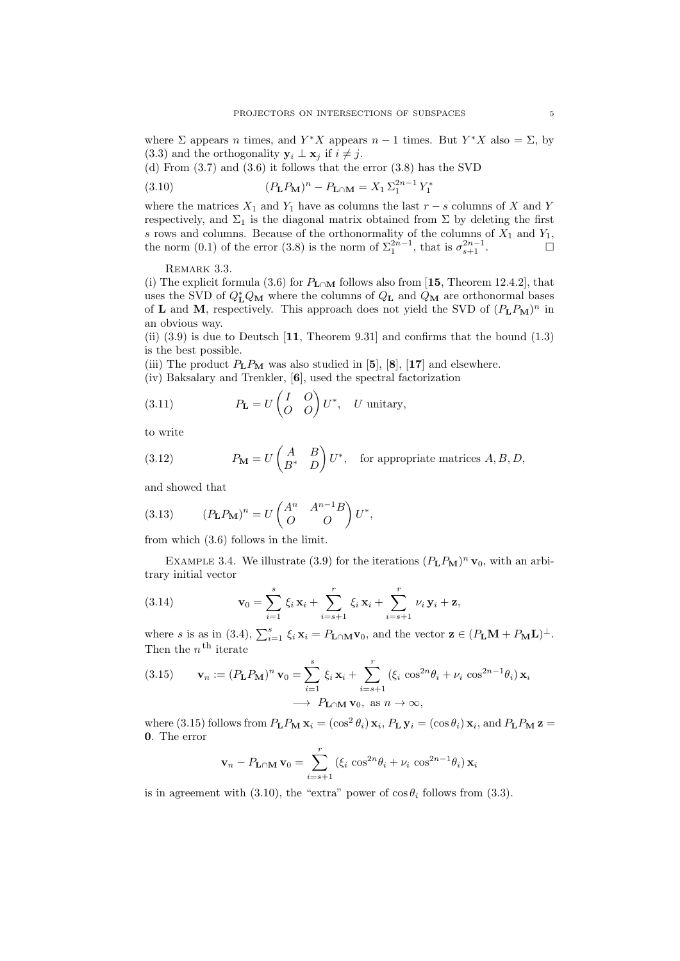where  $\Sigma$  appears *n* times, and  $Y^*X$  appears  $n-1$  times. But  $Y^*X$  also =  $\Sigma$ , by (3.3) and the orthogonality  $\mathbf{y}_i \perp \mathbf{x}_j$  if  $i \neq j$ .

(d) From (3.7) and (3.6) it follows that the error (3.8) has the SVD

(3.10) 
$$
(P_{\mathbf{L}}P_{\mathbf{M}})^n - P_{\mathbf{L}\cap\mathbf{M}} = X_1 \Sigma_1^{2n-1} Y_1^*
$$

where the matrices  $X_1$  and  $Y_1$  have as columns the last  $r - s$  columns of  $X$  and  $Y$ respectively, and  $\Sigma_1$  is the diagonal matrix obtained from  $\Sigma$  by deleting the first *s* rows and columns. Because of the orthonormality of the columns of  $X_1$  and  $Y_1$ , the norm  $(0.1)$  of the error  $(3.8)$  is the norm of  $\Sigma_1^{2n-1}$ , that is  $\sigma_{s+1}^{2n-1}$ .

REMARK 3.3.

(i) The explicit formula (3.6) for  $P_{\text{L}\cap\text{M}}$  follows also from [15, Theorem 12.4.2], that uses the SVD of  $Q_{\text{L}}^{*}Q_{\text{M}}$  where the columns of  $Q_{\text{L}}$  and  $Q_{\text{M}}$  are orthonormal bases of **L** and **M**, respectively. This approach does not yield the SVD of  $(P_L P_M)^n$  in an obvious way.

(ii) (3.9) is due to Deutsch [**11**, Theorem 9.31] and confirms that the bound (1.3) is the best possible.

(iii) The product  $P_L P_M$  was also studied in [5], [8], [17] and elsewhere.

(iv) Baksalary and Trenkler, [**6**], used the spectral factorization

(3.11) 
$$
P_{\mathbf{L}} = U \begin{pmatrix} I & O \\ O & O \end{pmatrix} U^*, \quad U \text{ unitary},
$$

to write

(3.12) 
$$
P_{\mathbf{M}} = U \begin{pmatrix} A & B \\ B^* & D \end{pmatrix} U^*, \text{ for appropriate matrices } A, B, D,
$$

and showed that

(3.13) 
$$
(P_{\mathbf{L}}P_{\mathbf{M}})^n = U \begin{pmatrix} A^n & A^{n-1}B \\ O & O \end{pmatrix} U^*,
$$

from which (3.6) follows in the limit.

EXAMPLE 3.4. We illustrate (3.9) for the iterations  $(P_{\mathbf{L}}P_{\mathbf{M}})^n \mathbf{v}_0$ , with an arbitrary initial vector

(3.14) 
$$
\mathbf{v}_0 = \sum_{i=1}^s \xi_i \mathbf{x}_i + \sum_{i=s+1}^r \xi_i \mathbf{x}_i + \sum_{i=s+1}^r \nu_i \mathbf{y}_i + \mathbf{z},
$$

where s is as in (3.4),  $\sum_{i=1}^{s} \xi_i \mathbf{x}_i = P_{\mathbf{L} \cap \mathbf{M}} \mathbf{v}_0$ , and the vector  $\mathbf{z} \in (P_{\mathbf{L}} \mathbf{M} + P_{\mathbf{M}} \mathbf{L})^{\perp}$ . Then the  $n^{\text{th}}$  iterate

(3.15) 
$$
\mathbf{v}_n := (P_{\mathbf{L}} P_{\mathbf{M}})^n \mathbf{v}_0 = \sum_{i=1}^s \xi_i \mathbf{x}_i + \sum_{i=s+1}^r (\xi_i \cos^{2n} \theta_i + \nu_i \cos^{2n-1} \theta_i) \mathbf{x}_i
$$

$$
\rightarrow P_{\mathbf{L} \cap \mathbf{M}} \mathbf{v}_0, \text{ as } n \rightarrow \infty,
$$

where (3.15) follows from  $P_L P_M$   $\mathbf{x}_i = (\cos^2 \theta_i) \mathbf{x}_i$ ,  $P_L$   $\mathbf{y}_i = (\cos \theta_i) \mathbf{x}_i$ , and  $P_L P_M$   $\mathbf{z} =$ **0**. The error

$$
\mathbf{v}_n - P_{\mathbf{L} \cap \mathbf{M}} \mathbf{v}_0 = \sum_{i=s+1}^r (\xi_i \cos^{2n} \theta_i + \nu_i \cos^{2n-1} \theta_i) \mathbf{x}_i
$$

is in agreement with (3.10), the "extra" power of  $\cos \theta_i$  follows from (3.3).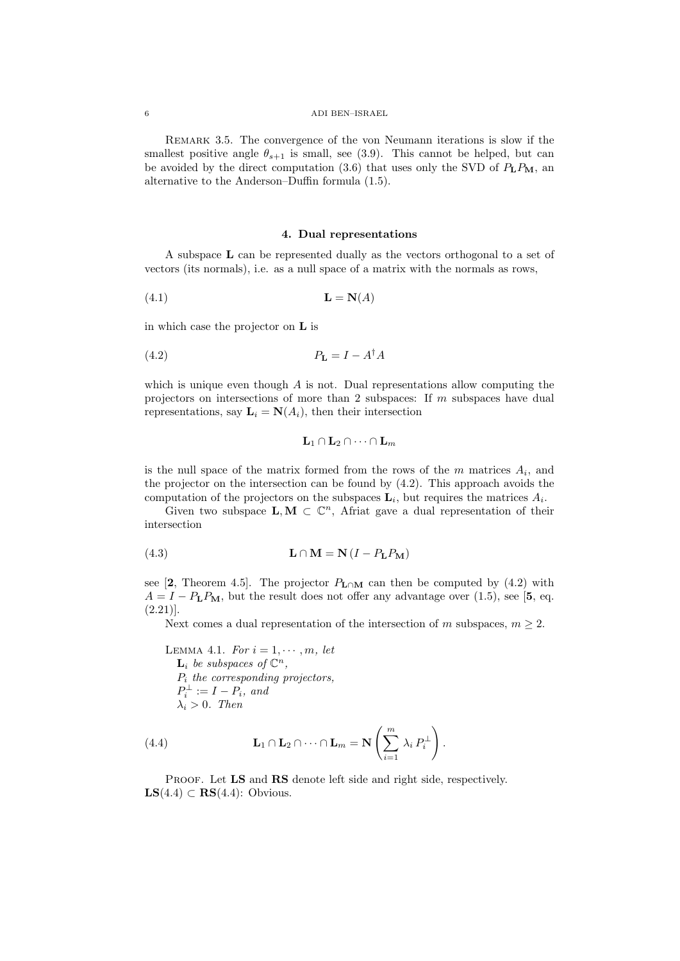### 6 ADI BEN–ISRAEL

Remark 3.5. The convergence of the von Neumann iterations is slow if the smallest positive angle  $\theta_{s+1}$  is small, see (3.9). This cannot be helped, but can be avoided by the direct computation  $(3.6)$  that uses only the SVD of  $P_L P_M$ , an alternative to the Anderson–Duffin formula (1.5).

## **4. Dual representations**

A subspace **L** can be represented dually as the vectors orthogonal to a set of vectors (its normals), i.e. as a null space of a matrix with the normals as rows,

$$
(4.1)\qquad \qquad \mathbf{L} = \mathbf{N}(A)
$$

in which case the projector on **L** is

$$
(4.2) \t\t\t P_{\mathbf{L}} = I - A^{\dagger} A
$$

which is unique even though *A* is not. Dual representations allow computing the projectors on intersections of more than 2 subspaces: If *m* subspaces have dual representations, say  $\mathbf{L}_i = \mathbf{N}(A_i)$ , then their intersection

$$
L_1\cap L_2\cap \cdots \cap L_m
$$

is the null space of the matrix formed from the rows of the  $m$  matrices  $A_i$ , and the projector on the intersection can be found by (4.2). This approach avoids the computation of the projectors on the subspaces  $\mathbf{L}_i$ , but requires the matrices  $A_i$ .

Given two subspace  $\mathbf{L}, \mathbf{M} \subset \mathbb{C}^n$ , Afriat gave a dual representation of their intersection

(4.3) 
$$
\mathbf{L} \cap \mathbf{M} = \mathbf{N} (I - P_{\mathbf{L}} P_{\mathbf{M}})
$$

see [2, Theorem 4.5]. The projector  $P_{\text{L}\cap\text{M}}$  can then be computed by (4.2) with  $A = I - P_{\rm L} P_{\rm M}$ , but the result does not offer any advantage over (1.5), see [5, eq.  $(2.21)$ ].

Next comes a dual representation of the intersection of *m* subspaces,  $m \geq 2$ .

LEMMA 4.1. For 
$$
i = 1, \dots, m
$$
, let  
\n $\mathbf{L}_i$  be subspaces of  $\mathbb{C}^n$ ,  
\n $P_i$  the corresponding projectors,  
\n $P_i^{\perp} := I - P_i$ , and  
\n $\lambda_i > 0$ . Then

(4.4) 
$$
\mathbf{L}_1 \cap \mathbf{L}_2 \cap \cdots \cap \mathbf{L}_m = \mathbf{N} \left( \sum_{i=1}^m \lambda_i P_i^{\perp} \right).
$$

PROOF. Let **LS** and **RS** denote left side and right side, respectively. **LS**(4.4) *⊂* **RS**(4.4): Obvious.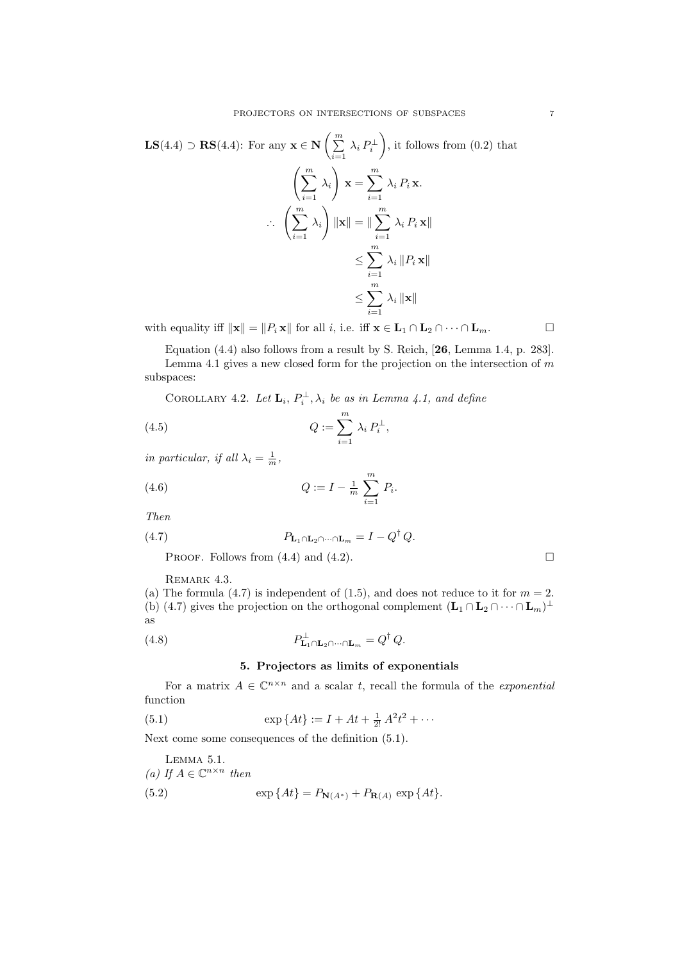$$
\mathbf{LS}(4.4) \supset \mathbf{RS}(4.4): \text{ For any } \mathbf{x} \in \mathbf{N} \left( \sum_{i=1}^{m} \lambda_i P_i^{\perp} \right), \text{ it follows from (0.2) that}
$$
\n
$$
\left( \sum_{i=1}^{m} \lambda_i \right) \mathbf{x} = \sum_{i=1}^{m} \lambda_i P_i \mathbf{x}.
$$
\n
$$
\therefore \left( \sum_{i=1}^{m} \lambda_i \right) \|\mathbf{x}\| = \|\sum_{i=1}^{m} \lambda_i P_i \mathbf{x}\|
$$
\n
$$
\leq \sum_{i=1}^{m} \lambda_i \|P_i \mathbf{x}\|
$$
\n
$$
\leq \sum_{i=1}^{m} \lambda_i \|\mathbf{x}\|
$$

with equality iff  $||\mathbf{x}|| = ||P_i \mathbf{x}||$  for all *i*, i.e. iff  $\mathbf{x} \in \mathbf{L}_1 \cap \mathbf{L}_2 \cap \cdots \cap \mathbf{L}_m$ .

Equation (4.4) also follows from a result by S. Reich, [**26**, Lemma 1.4, p. 283]. Lemma 4.1 gives a new closed form for the projection on the intersection of *m* subspaces:

COROLLARY 4.2. Let  $\mathbf{L}_i$ ,  $P_i^{\perp}$ ,  $\lambda_i$  be as in Lemma 4.1, and define

(4.5) 
$$
Q := \sum_{i=1}^{m} \lambda_i P_i^{\perp},
$$

*in particular, if all*  $\lambda_i = \frac{1}{m}$ ,

(4.6) 
$$
Q := I - \frac{1}{m} \sum_{i=1}^{m} P_i.
$$

*Then*

(4.7) 
$$
P_{\mathbf{L}_1 \cap \mathbf{L}_2 \cap \dots \cap \mathbf{L}_m} = I - Q^{\dagger} Q.
$$

PROOF. Follows from  $(4.4)$  and  $(4.2)$ .

REMARK 4.3.

(a) The formula  $(4.7)$  is independent of  $(1.5)$ , and does not reduce to it for  $m = 2$ . (b) (4.7) gives the projection on the orthogonal complement  $(L_1 \cap L_2 \cap \cdots \cap L_m)^{\perp}$ as

(4.8) 
$$
P_{\mathbf{L}_1 \cap \mathbf{L}_2 \cap \cdots \cap \mathbf{L}_m}^{\perp} = Q^{\dagger} Q.
$$

# **5. Projectors as limits of exponentials**

For a matrix  $A \in \mathbb{C}^{n \times n}$  and a scalar *t*, recall the formula of the *exponential* function

(5.1) 
$$
\exp\{At\} := I + At + \frac{1}{2!}A^2t^2 + \cdots
$$

Next come some consequences of the definition (5.1).

LEMMA 5.1.  
\n(a) If 
$$
A \in \mathbb{C}^{n \times n}
$$
 then  
\n(5.2) 
$$
\exp\{At\} = P_{\mathbf{N}(A^*)} + P_{\mathbf{R}(A)} \exp\{At\}.
$$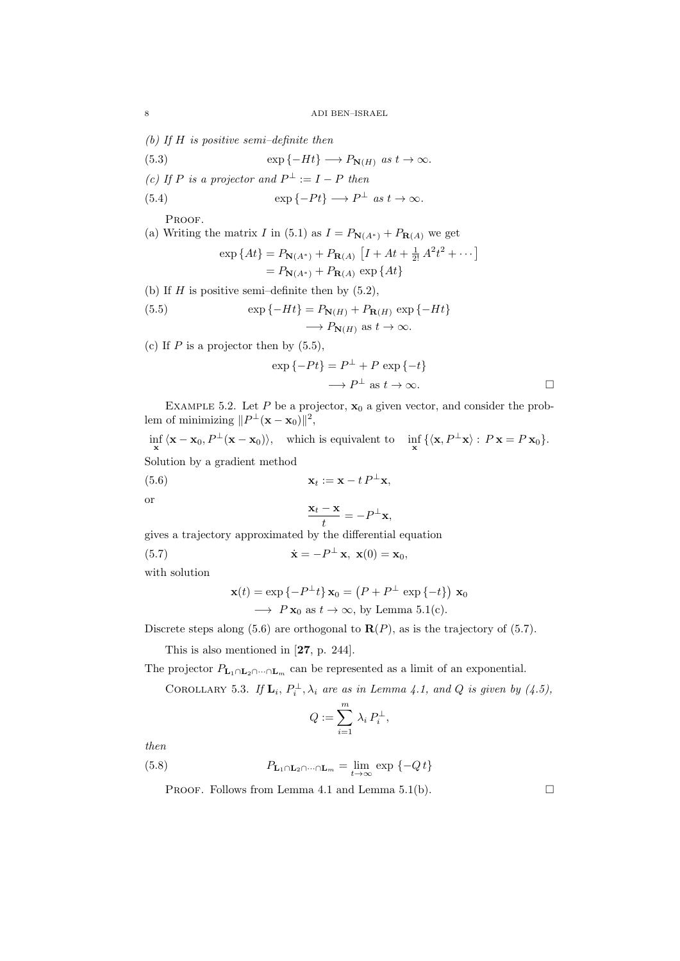*(b) If H is positive semi–definite then*

(5.3) 
$$
\exp\{-Ht\} \longrightarrow P_{\mathbf{N}(H)} \text{ as } t \to \infty.
$$

(c) If P is a projector and 
$$
P^{\perp} := I - P
$$
 then

(5.4) 
$$
\exp\{-Pt\} \longrightarrow P^{\perp} \text{ as } t \to \infty.
$$

PROOF.

(a) Writing the matrix *I* in (5.1) as  $I = P_{\mathbf{N}(A^*)} + P_{\mathbf{R}(A)}$  we get  $\exp\{At\} = P_{\mathbf{N}(A^*)} + P_{\mathbf{R}(A)} \left[ I + At + \frac{1}{2!} A^2 t^2 + \cdots \right]$  $= P_{\mathbf{N}(A^*)} + P_{\mathbf{R}(A)} \exp \{At\}$ 

(b) If 
$$
H
$$
 is positive semi-definite then by (5.2),

(5.5) 
$$
\exp\{-Ht\} = P_{\mathbf{N}(H)} + P_{\mathbf{R}(H)} \exp\{-Ht\}
$$

$$
\longrightarrow P_{\mathbf{N}(H)} \text{ as } t \to \infty.
$$

(c) If  $P$  is a projector then by  $(5.5)$ ,

$$
\exp\{-Pt\} = P^{\perp} + P \exp\{-t\}
$$

$$
\longrightarrow P^{\perp} \text{ as } t \to \infty.
$$

EXAMPLE 5.2. Let  $P$  be a projector,  $\mathbf{x}_0$  a given vector, and consider the problem of minimizing  $||P^{\perp}(\mathbf{x} - \mathbf{x}_0)||^2$ ,

 $\inf_{\mathbf{x}} \langle \mathbf{x} - \mathbf{x}_0, P^{\perp}(\mathbf{x} - \mathbf{x}_0) \rangle$ , which is equivalent to  $\inf_{\mathbf{x}} \{ \langle \mathbf{x}, P^{\perp} \mathbf{x} \rangle : P \mathbf{x} = P \mathbf{x}_0 \}.$ Solution by a gradient method

(5.6) 
$$
\mathbf{x}_t := \mathbf{x} - t P^{\perp} \mathbf{x},
$$

or

$$
\frac{\mathbf{x}_t - \mathbf{x}}{t} = -P^{\perp} \mathbf{x},
$$

gives a trajectory approximated by the differential equation

(5.7) 
$$
\dot{\mathbf{x}} = -P^{\perp} \mathbf{x}, \ \mathbf{x}(0) = \mathbf{x}_0,
$$

with solution

$$
\mathbf{x}(t) = \exp\{-P^{\perp}t\} \mathbf{x}_0 = (P + P^{\perp} \exp\{-t\}) \mathbf{x}_0
$$
  
\n
$$
\longrightarrow P \mathbf{x}_0 \text{ as } t \to \infty, \text{ by Lemma 5.1(c)}.
$$

Discrete steps along  $(5.6)$  are orthogonal to  $\mathbf{R}(P)$ , as is the trajectory of  $(5.7)$ .

This is also mentioned in [**27**, p. 244].

The projector  $P_{\mathbf{L}_1 \cap \mathbf{L}_2 \cap \cdots \cap \mathbf{L}_m}$  can be represented as a limit of an exponential.

COROLLARY 5.3. If  $\mathbf{L}_i$ ,  $P_i^{\perp}$ ,  $\lambda_i$  are as in Lemma 4.1, and Q is given by (4.5),

$$
Q := \sum_{i=1}^m \lambda_i P_i^{\perp},
$$

*then*

(5.8) 
$$
P_{\mathbf{L}_1 \cap \mathbf{L}_2 \cap \dots \cap \mathbf{L}_m} = \lim_{t \to \infty} \exp \{-Q t\}
$$

PROOF. Follows from Lemma 4.1 and Lemma 5.1(b).  $\Box$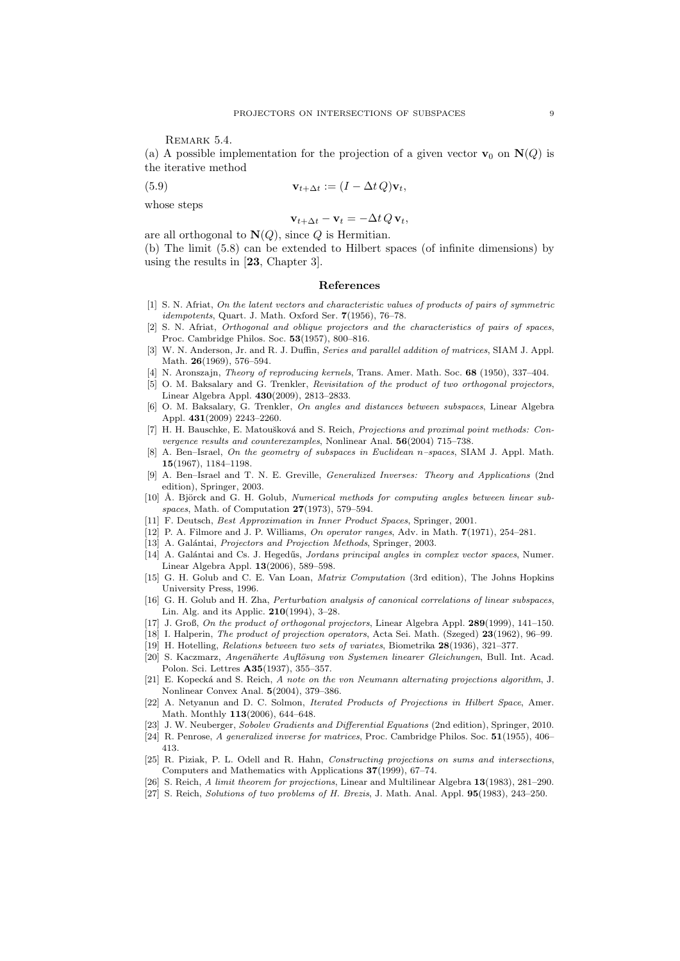REMARK 5.4.

(a) A possible implementation for the projection of a given vector  $\mathbf{v}_0$  on  $\mathbf{N}(Q)$  is the iterative method

(5.9) 
$$
\mathbf{v}_{t+\Delta t} := (I - \Delta t Q)\mathbf{v}_t,
$$

whose steps

$$
\mathbf{v}_{t+\Delta t} - \mathbf{v}_t = -\Delta t \, Q \, \mathbf{v}_t,
$$

are all orthogonal to  $N(Q)$ , since *Q* is Hermitian.

(b) The limit (5.8) can be extended to Hilbert spaces (of infinite dimensions) by using the results in [**23**, Chapter 3].

## **References**

- [1] S. N. Afriat, *On the latent vectors and characteristic values of products of pairs of symmetric idempotents*, Quart. J. Math. Oxford Ser. **7**(1956), 76–78.
- [2] S. N. Afriat, *Orthogonal and oblique projectors and the characteristics of pairs of spaces*, Proc. Cambridge Philos. Soc. **53**(1957), 800–816.
- [3] W. N. Anderson, Jr. and R. J. Duffin, *Series and parallel addition of matrices*, SIAM J. Appl. Math. **26**(1969), 576–594.
- [4] N. Aronszajn, *Theory of reproducing kernels*, Trans. Amer. Math. Soc. **68** (1950), 337–404.
- [5] O. M. Baksalary and G. Trenkler, *Revisitation of the product of two orthogonal projectors*, Linear Algebra Appl. **430**(2009), 2813–2833.
- [6] O. M. Baksalary, G. Trenkler, *On angles and distances between subspaces*, Linear Algebra Appl. **431**(2009) 2243–2260.
- [7] H. H. Bauschke, E. Matoušková and S. Reich, *Projections and proximal point methods: Convergence results and counterexamples*, Nonlinear Anal. **56**(2004) 715–738.
- [8] A. Ben–Israel, *On the geometry of subspaces in Euclidean n–spaces*, SIAM J. Appl. Math. **15**(1967), 1184–1198.
- [9] A. Ben–Israel and T. N. E. Greville, *Generalized Inverses: Theory and Applications* (2nd edition), Springer, 2003.
- [10] Å. Björck and G. H. Golub, *Numerical methods for computing angles between linear subspaces*, Math. of Computation **27**(1973), 579–594.
- [11] F. Deutsch, *Best Approximation in Inner Product Spaces*, Springer, 2001.
- [12] P. A. Filmore and J. P. Williams, *On operator ranges*, Adv. in Math. **7**(1971), 254–281.
- [13] A. Galántai, *Projectors and Projection Methods*, Springer, 2003.
- [14] A. Galántai and Cs. J. Hegedűs, *Jordans principal angles in complex vector spaces*, Numer. Linear Algebra Appl. **13**(2006), 589–598.
- [15] G. H. Golub and C. E. Van Loan, *Matrix Computation* (3rd edition), The Johns Hopkins University Press, 1996.
- [16] G. H. Golub and H. Zha, *Perturbation analysis of canonical correlations of linear subspaces*, Lin. Alg. and its Applic. **210**(1994), 3–28.
- [17] J. Groß, *On the product of orthogonal projectors*, Linear Algebra Appl. **289**(1999), 141–150.
- [18] I. Halperin, *The product of projection operators*, Acta Sei. Math. (Szeged) **23**(1962), 96–99.
- [19] H. Hotelling, *Relations between two sets of variates*, Biometrika **28**(1936), 321–377.
- [20] S. Kaczmarz, *Angenäherte Auflösung von Systemen linearer Gleichungen*, Bull. Int. Acad. Polon. Sci. Lettres **A35**(1937), 355–357.
- [21] E. Kopeck´a and S. Reich, *A note on the von Neumann alternating projections algorithm*, J. Nonlinear Convex Anal. **5**(2004), 379–386.
- [22] A. Netyanun and D. C. Solmon, *Iterated Products of Projections in Hilbert Space*, Amer. Math. Monthly **113**(2006), 644–648.
- [23] J. W. Neuberger, *Sobolev Gradients and Differential Equations* (2nd edition), Springer, 2010.
- [24] R. Penrose, *A generalized inverse for matrices*, Proc. Cambridge Philos. Soc. **51**(1955), 406– 413.
- [25] R. Piziak, P. L. Odell and R. Hahn, *Constructing projections on sums and intersections*, Computers and Mathematics with Applications **37**(1999), 67–74.
- [26] S. Reich, *A limit theorem for projections*, Linear and Multilinear Algebra **13**(1983), 281–290.
- [27] S. Reich, *Solutions of two problems of H. Brezis*, J. Math. Anal. Appl. **95**(1983), 243–250.